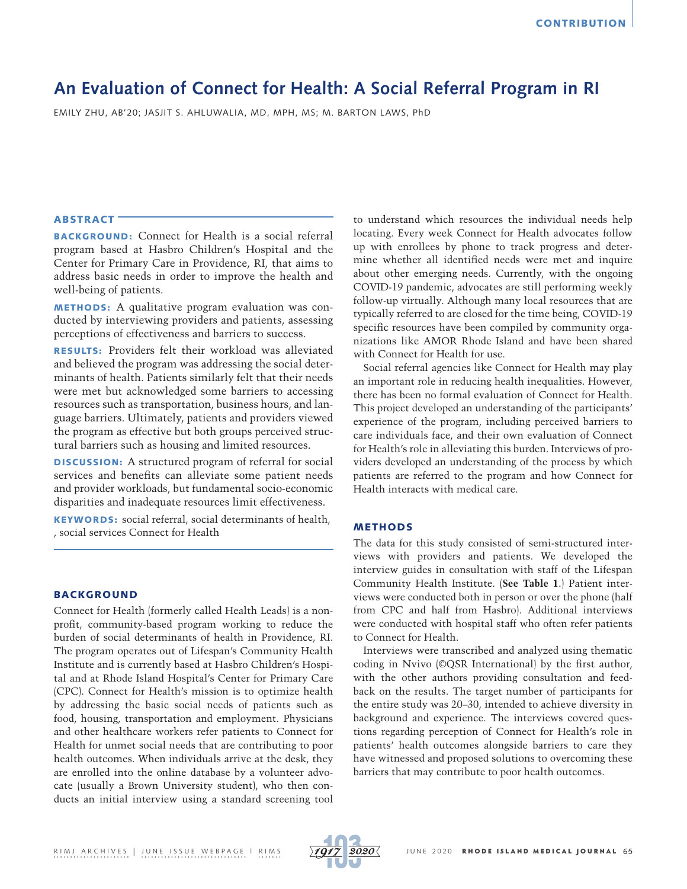# **An Evaluation of Connect for Health: A Social Referral Program in RI**

EMILY ZHU, AB'20; JASJIT S. AHLUWALIA, MD, MPH, MS; M. BARTON LAWS, PhD

# ABSTRACT

BACKGROUND: Connect for Health is a social referral program based at Hasbro Children's Hospital and the Center for Primary Care in Providence, RI, that aims to address basic needs in order to improve the health and well-being of patients.

METHODS: A qualitative program evaluation was conducted by interviewing providers and patients, assessing perceptions of effectiveness and barriers to success.

RESULTS: Providers felt their workload was alleviated and believed the program was addressing the social determinants of health. Patients similarly felt that their needs were met but acknowledged some barriers to accessing resources such as transportation, business hours, and language barriers. Ultimately, patients and providers viewed the program as effective but both groups perceived structural barriers such as housing and limited resources.

DISCUSSION: A structured program of referral for social services and benefits can alleviate some patient needs and provider workloads, but fundamental socio-economic disparities and inadequate resources limit effectiveness.

KEYWORDS: social referral, social determinants of health, , social services Connect for Health

## BACKGROUND

Connect for Health (formerly called Health Leads) is a nonprofit, community-based program working to reduce the burden of social determinants of health in Providence, RI. The program operates out of Lifespan's Community Health Institute and is currently based at Hasbro Children's Hospital and at Rhode Island Hospital's Center for Primary Care (CPC). Connect for Health's mission is to optimize health by addressing the basic social needs of patients such as food, housing, transportation and employment. Physicians and other healthcare workers refer patients to Connect for Health for unmet social needs that are contributing to poor health outcomes. When individuals arrive at the desk, they are enrolled into the online database by a volunteer advocate (usually a Brown University student), who then conducts an initial interview using a standard screening tool to understand which resources the individual needs help locating. Every week Connect for Health advocates follow up with enrollees by phone to track progress and determine whether all identified needs were met and inquire about other emerging needs. Currently, with the ongoing COVID-19 pandemic, advocates are still performing weekly follow-up virtually. Although many local resources that are typically referred to are closed for the time being, COVID-19 specific resources have been compiled by community organizations like AMOR Rhode Island and have been shared with Connect for Health for use.

Social referral agencies like Connect for Health may play an important role in reducing health inequalities. However, there has been no formal evaluation of Connect for Health. This project developed an understanding of the participants' experience of the program, including perceived barriers to care individuals face, and their own evaluation of Connect for Health's role in alleviating this burden. Interviews of providers developed an understanding of the process by which patients are referred to the program and how Connect for Health interacts with medical care.

## METHODS

The data for this study consisted of semi-structured interviews with providers and patients. We developed the interview guides in consultation with staff of the Lifespan Community Health Institute. (**See Table 1**.) Patient interviews were conducted both in person or over the phone (half from CPC and half from Hasbro). Additional interviews were conducted with hospital staff who often refer patients to Connect for Health.

Interviews were transcribed and analyzed using thematic coding in Nvivo (©QSR International) by the first author, with the other authors providing consultation and feedback on the results. The target number of participants for the entire study was 20–30, intended to achieve diversity in background and experience. The interviews covered questions regarding perception of Connect for Health's role in patients' health outcomes alongside barriers to care they have witnessed and proposed solutions to overcoming these barriers that may contribute to poor health outcomes.

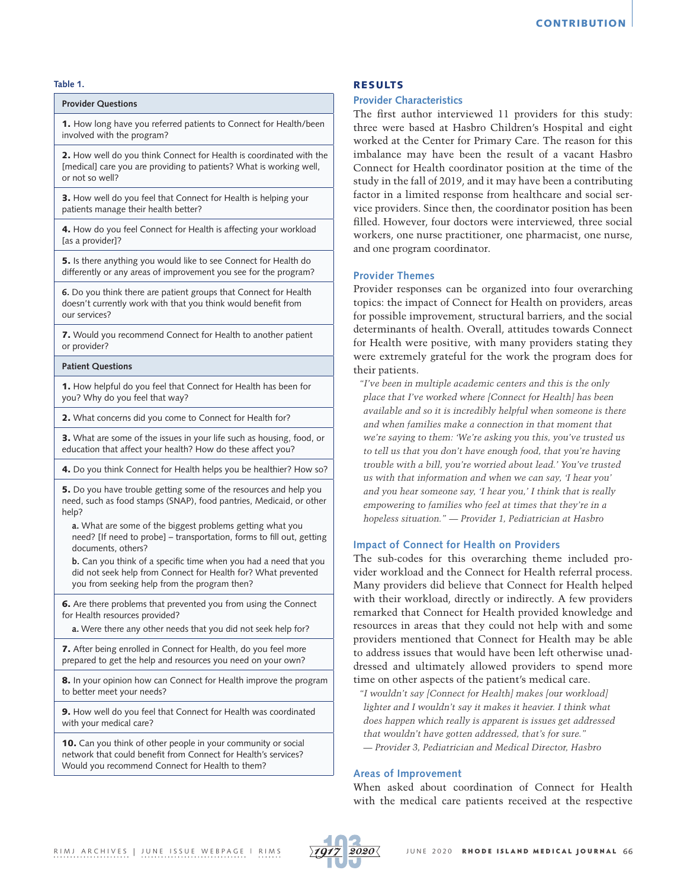#### **Table 1.**

# **Provider Questions**

1. How long have you referred patients to Connect for Health/been involved with the program?

2. How well do you think Connect for Health is coordinated with the [medical] care you are providing to patients? What is working well, or not so well?

3. How well do you feel that Connect for Health is helping your patients manage their health better?

4. How do you feel Connect for Health is affecting your workload [as a provider]?

5. Is there anything you would like to see Connect for Health do differently or any areas of improvement you see for the program?

**6.** Do you think there are patient groups that Connect for Health doesn't currently work with that you think would benefit from our services?

7. Would you recommend Connect for Health to another patient or provider?

#### **Patient Questions**

1. How helpful do you feel that Connect for Health has been for you? Why do you feel that way?

2. What concerns did you come to Connect for Health for?

3. What are some of the issues in your life such as housing, food, or education that affect your health? How do these affect you?

4. Do you think Connect for Health helps you be healthier? How so?

5. Do you have trouble getting some of the resources and help you need, such as food stamps (SNAP), food pantries, Medicaid, or other help?

**a.** What are some of the biggest problems getting what you need? [If need to probe] – transportation, forms to fill out, getting documents, others?

**b.** Can you think of a specific time when you had a need that you did not seek help from Connect for Health for? What prevented you from seeking help from the program then?

6. Are there problems that prevented you from using the Connect for Health resources provided?

**a.** Were there any other needs that you did not seek help for?

7. After being enrolled in Connect for Health, do you feel more prepared to get the help and resources you need on your own?

8. In your opinion how can Connect for Health improve the program to better meet your needs?

9. How well do you feel that Connect for Health was coordinated with your medical care?

10. Can you think of other people in your community or social network that could benefit from Connect for Health's services? Would you recommend Connect for Health to them?

#### RESULTS

## **Provider Characteristics**

The first author interviewed 11 providers for this study: three were based at Hasbro Children's Hospital and eight worked at the Center for Primary Care. The reason for this imbalance may have been the result of a vacant Hasbro Connect for Health coordinator position at the time of the study in the fall of 2019, and it may have been a contributing factor in a limited response from healthcare and social service providers. Since then, the coordinator position has been filled. However, four doctors were interviewed, three social workers, one nurse practitioner, one pharmacist, one nurse, and one program coordinator.

## **Provider Themes**

Provider responses can be organized into four overarching topics: the impact of Connect for Health on providers, areas for possible improvement, structural barriers, and the social determinants of health. Overall, attitudes towards Connect for Health were positive, with many providers stating they were extremely grateful for the work the program does for their patients.

*"I've been in multiple academic centers and this is the only place that I've worked where [Connect for Health] has been available and so it is incredibly helpful when someone is there and when families make a connection in that moment that we're saying to them: 'We're asking you this, you've trusted us to tell us that you don't have enough food, that you're having trouble with a bill, you're worried about lead.' You've trusted us with that information and when we can say, 'I hear you' and you hear someone say, 'I hear you,' I think that is really empowering to families who feel at times that they're in a hopeless situation." — Provider 1, Pediatrician at Hasbro*

#### **Impact of Connect for Health on Providers**

The sub-codes for this overarching theme included provider workload and the Connect for Health referral process. Many providers did believe that Connect for Health helped with their workload, directly or indirectly. A few providers remarked that Connect for Health provided knowledge and resources in areas that they could not help with and some providers mentioned that Connect for Health may be able to address issues that would have been left otherwise unaddressed and ultimately allowed providers to spend more time on other aspects of the patient's medical care.

*"I wouldn't say [Connect for Health] makes [our workload] lighter and I wouldn't say it makes it heavier. I think what does happen which really is apparent is issues get addressed that wouldn't have gotten addressed, that's for sure." — Provider 3, Pediatrician and Medical Director, Hasbro*

# **Areas of Improvement**

When asked about coordination of Connect for Health with the medical care patients received at the respective

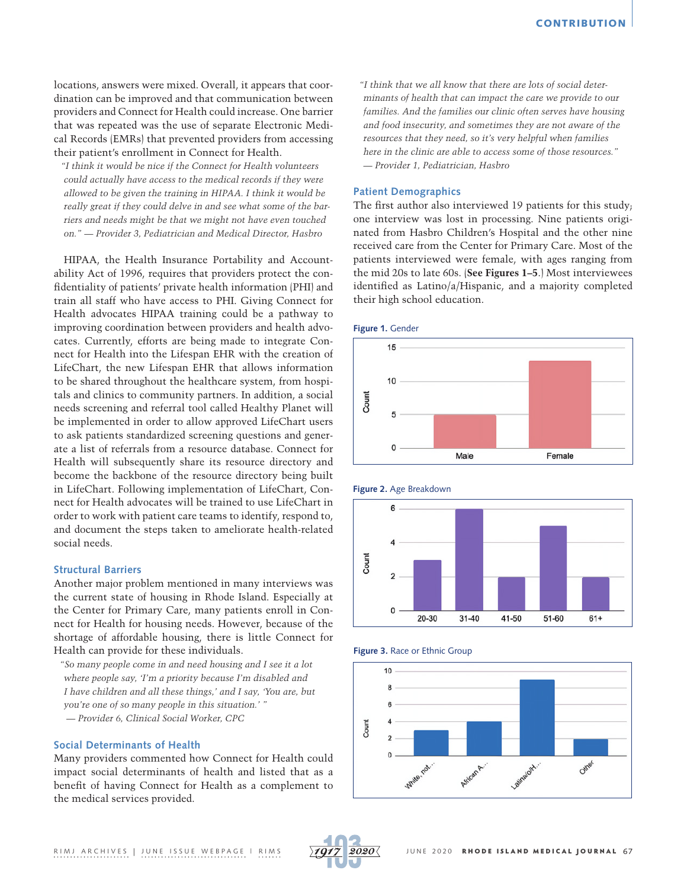locations, answers were mixed. Overall, it appears that coordination can be improved and that communication between providers and Connect for Health could increase. One barrier that was repeated was the use of separate Electronic Medical Records (EMRs) that prevented providers from accessing their patient's enrollment in Connect for Health.

*"I think it would be nice if the Connect for Health volunteers could actually have access to the medical records if they were allowed to be given the training in HIPAA. I think it would be really great if they could delve in and see what some of the barriers and needs might be that we might not have even touched on." — Provider 3, Pediatrician and Medical Director, Hasbro*

HIPAA, the Health Insurance Portability and Accountability Act of 1996, requires that providers protect the confidentiality of patients' private health information (PHI) and train all staff who have access to PHI. Giving Connect for Health advocates HIPAA training could be a pathway to improving coordination between providers and health advocates. Currently, efforts are being made to integrate Connect for Health into the Lifespan EHR with the creation of LifeChart, the new Lifespan EHR that allows information to be shared throughout the healthcare system, from hospitals and clinics to community partners. In addition, a social needs screening and referral tool called Healthy Planet will be implemented in order to allow approved LifeChart users to ask patients standardized screening questions and generate a list of referrals from a resource database. Connect for Health will subsequently share its resource directory and become the backbone of the resource directory being built in LifeChart. Following implementation of LifeChart, Connect for Health advocates will be trained to use LifeChart in order to work with patient care teams to identify, respond to, and document the steps taken to ameliorate health-related social needs.

# **Structural Barriers**

Another major problem mentioned in many interviews was the current state of housing in Rhode Island. Especially at the Center for Primary Care, many patients enroll in Connect for Health for housing needs. However, because of the shortage of affordable housing, there is little Connect for Health can provide for these individuals.

*"So many people come in and need housing and I see it a lot where people say, 'I'm a priority because I'm disabled and I have children and all these things,' and I say, 'You are, but you're one of so many people in this situation.' " — Provider 6, Clinical Social Worker, CPC*

#### **Social Determinants of Health**

Many providers commented how Connect for Health could impact social determinants of health and listed that as a benefit of having Connect for Health as a complement to the medical services provided.

*"I think that we all know that there are lots of social determinants of health that can impact the care we provide to our families. And the families our clinic often serves have housing and food insecurity, and sometimes they are not aware of the resources that they need, so it's very helpful when families here in the clinic are able to access some of those resources." — Provider 1, Pediatrician, Hasbro*

#### **Patient Demographics**

The first author also interviewed 19 patients for this study; one interview was lost in processing. Nine patients originated from Hasbro Children's Hospital and the other nine received care from the Center for Primary Care. Most of the patients interviewed were female, with ages ranging from the mid 20s to late 60s. (**See Figures 1–5**.) Most interviewees identified as Latino/a/Hispanic, and a majority completed their high school education.













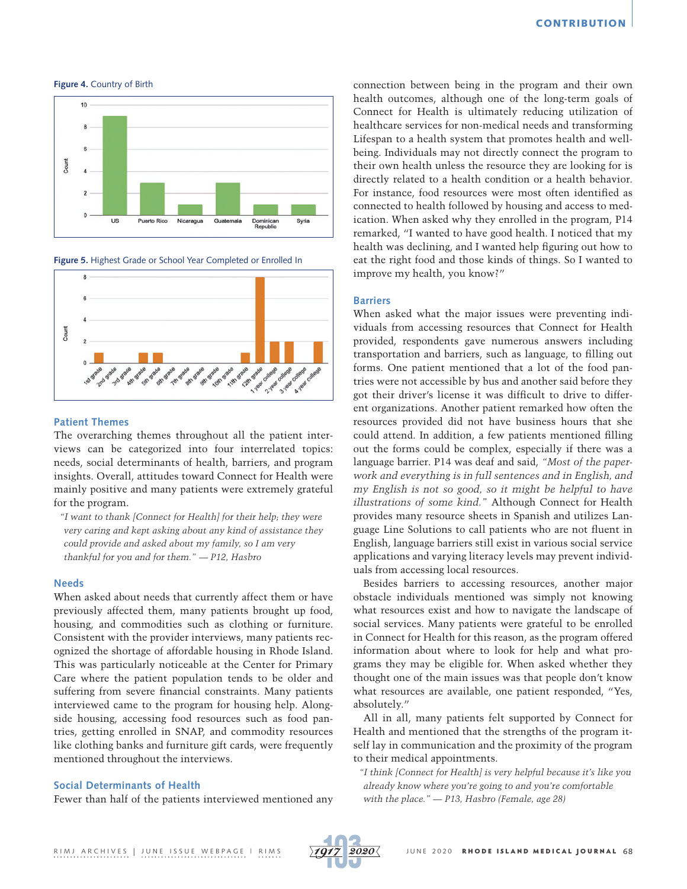$10$ Count  $\sqrt{2}$  $\overline{us}$ Puerto Rico Nicaragua Guatemala Dominicar<br>Republic Syria

**Figure 4.** Country of Birth

**Figure 5.** Highest Grade or School Year Completed or Enrolled In



#### **Patient Themes**

The overarching themes throughout all the patient interviews can be categorized into four interrelated topics: needs, social determinants of health, barriers, and program insights. Overall, attitudes toward Connect for Health were mainly positive and many patients were extremely grateful for the program.

*"I want to thank [Connect for Health] for their help; they were very caring and kept asking about any kind of assistance they could provide and asked about my family, so I am very thankful for you and for them." — P12, Hasbro*

#### **Needs**

When asked about needs that currently affect them or have previously affected them, many patients brought up food, housing, and commodities such as clothing or furniture. Consistent with the provider interviews, many patients recognized the shortage of affordable housing in Rhode Island. This was particularly noticeable at the Center for Primary Care where the patient population tends to be older and suffering from severe financial constraints. Many patients interviewed came to the program for housing help. Alongside housing, accessing food resources such as food pantries, getting enrolled in SNAP, and commodity resources like clothing banks and furniture gift cards, were frequently mentioned throughout the interviews.

# **Social Determinants of Health**

Fewer than half of the patients interviewed mentioned any

connection between being in the program and their own health outcomes, although one of the long-term goals of Connect for Health is ultimately reducing utilization of healthcare services for non-medical needs and transforming Lifespan to a health system that promotes health and wellbeing. Individuals may not directly connect the program to their own health unless the resource they are looking for is directly related to a health condition or a health behavior. For instance, food resources were most often identified as connected to health followed by housing and access to medication. When asked why they enrolled in the program, P14 remarked, "I wanted to have good health. I noticed that my health was declining, and I wanted help figuring out how to eat the right food and those kinds of things. So I wanted to improve my health, you know?"

## **Barriers**

When asked what the major issues were preventing individuals from accessing resources that Connect for Health provided, respondents gave numerous answers including transportation and barriers, such as language, to filling out forms. One patient mentioned that a lot of the food pantries were not accessible by bus and another said before they got their driver's license it was difficult to drive to different organizations. Another patient remarked how often the resources provided did not have business hours that she could attend. In addition, a few patients mentioned filling out the forms could be complex, especially if there was a language barrier. P14 was deaf and said, *"Most of the paperwork and everything is in full sentences and in English, and my English is not so good, so it might be helpful to have illustrations of some kind."* Although Connect for Health provides many resource sheets in Spanish and utilizes Language Line Solutions to call patients who are not fluent in English, language barriers still exist in various social service applications and varying literacy levels may prevent individuals from accessing local resources.

Besides barriers to accessing resources, another major obstacle individuals mentioned was simply not knowing what resources exist and how to navigate the landscape of social services. Many patients were grateful to be enrolled in Connect for Health for this reason, as the program offered information about where to look for help and what programs they may be eligible for. When asked whether they thought one of the main issues was that people don't know what resources are available, one patient responded, "Yes, absolutely."

All in all, many patients felt supported by Connect for Health and mentioned that the strengths of the program itself lay in communication and the proximity of the program to their medical appointments.

*"I think [Connect for Health] is very helpful because it's like you already know where you're going to and you're comfortable with the place." — P13, Hasbro (Female, age 28)*